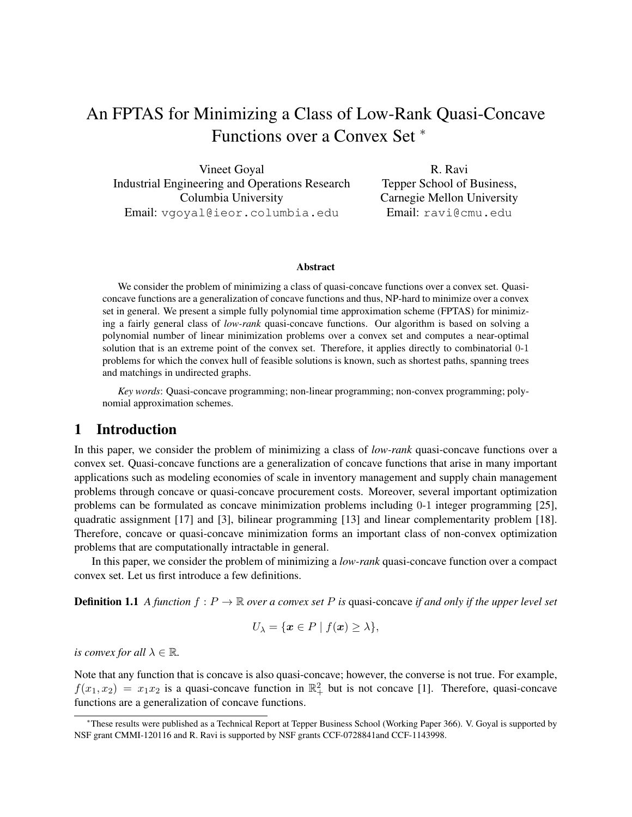# An FPTAS for Minimizing a Class of Low-Rank Quasi-Concave Functions over a Convex Set <sup>∗</sup>

Vineet Goyal Industrial Engineering and Operations Research Columbia University Email: vgoyal@ieor.columbia.edu

R. Ravi Tepper School of Business, Carnegie Mellon University Email: ravi@cmu.edu

### Abstract

We consider the problem of minimizing a class of quasi-concave functions over a convex set. Quasiconcave functions are a generalization of concave functions and thus, NP-hard to minimize over a convex set in general. We present a simple fully polynomial time approximation scheme (FPTAS) for minimizing a fairly general class of *low-rank* quasi-concave functions. Our algorithm is based on solving a polynomial number of linear minimization problems over a convex set and computes a near-optimal solution that is an extreme point of the convex set. Therefore, it applies directly to combinatorial 0-1 problems for which the convex hull of feasible solutions is known, such as shortest paths, spanning trees and matchings in undirected graphs.

*Key words*: Quasi-concave programming; non-linear programming; non-convex programming; polynomial approximation schemes.

## 1 Introduction

In this paper, we consider the problem of minimizing a class of *low-rank* quasi-concave functions over a convex set. Quasi-concave functions are a generalization of concave functions that arise in many important applications such as modeling economies of scale in inventory management and supply chain management problems through concave or quasi-concave procurement costs. Moreover, several important optimization problems can be formulated as concave minimization problems including 0-1 integer programming [25], quadratic assignment [17] and [3], bilinear programming [13] and linear complementarity problem [18]. Therefore, concave or quasi-concave minimization forms an important class of non-convex optimization problems that are computationally intractable in general.

In this paper, we consider the problem of minimizing a *low-rank* quasi-concave function over a compact convex set. Let us first introduce a few definitions.

**Definition 1.1** *A function*  $f: P \to \mathbb{R}$  *over a convex set* P *is* quasi-concave *if and only if the upper level set* 

$$
U_{\lambda} = \{ \boldsymbol{x} \in P \mid f(\boldsymbol{x}) \geq \lambda \},
$$

*is convex for all*  $\lambda \in \mathbb{R}$ *.* 

Note that any function that is concave is also quasi-concave; however, the converse is not true. For example,  $f(x_1, x_2) = x_1 x_2$  is a quasi-concave function in  $\mathbb{R}^2_+$  but is not concave [1]. Therefore, quasi-concave functions are a generalization of concave functions.

<sup>∗</sup>These results were published as a Technical Report at Tepper Business School (Working Paper 366). V. Goyal is supported by NSF grant CMMI-120116 and R. Ravi is supported by NSF grants CCF-0728841and CCF-1143998.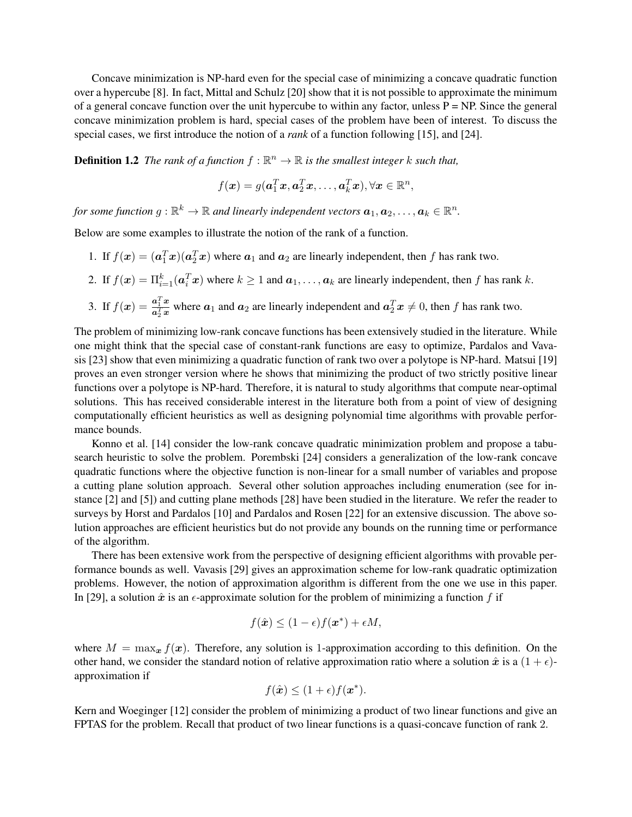Concave minimization is NP-hard even for the special case of minimizing a concave quadratic function over a hypercube [8]. In fact, Mittal and Schulz [20] show that it is not possible to approximate the minimum of a general concave function over the unit hypercube to within any factor, unless  $P = NP$ . Since the general concave minimization problem is hard, special cases of the problem have been of interest. To discuss the special cases, we first introduce the notion of a *rank* of a function following [15], and [24].

**Definition 1.2** The rank of a function  $f : \mathbb{R}^n \to \mathbb{R}$  is the smallest integer k such that,

$$
f(\boldsymbol{x}) = g(\boldsymbol{a}_1^T\boldsymbol{x}, \boldsymbol{a}_2^T\boldsymbol{x}, \dots, \boldsymbol{a}_k^T\boldsymbol{x}), \forall \boldsymbol{x} \in \mathbb{R}^n,
$$

for some function  $g: \mathbb{R}^k \to \mathbb{R}$  and linearly independent vectors  $\boldsymbol{a}_1, \boldsymbol{a}_2, \ldots, \boldsymbol{a}_k \in \mathbb{R}^n$ .

Below are some examples to illustrate the notion of the rank of a function.

- 1. If  $f(\mathbf{x}) = (\mathbf{a}_1^T \mathbf{x})(\mathbf{a}_2^T \mathbf{x})$  where  $\mathbf{a}_1$  and  $\mathbf{a}_2$  are linearly independent, then f has rank two.
- 2. If  $f(\mathbf{x}) = \prod_{i=1}^{k} (\mathbf{a}_i^T \mathbf{x})$  where  $k \ge 1$  and  $\mathbf{a}_1, \dots, \mathbf{a}_k$  are linearly independent, then f has rank k.
- 3. If  $f(x) = \frac{a_1^T x}{a_1^T x}$  $\frac{a_1^2 x}{a_2^T x}$  where  $a_1$  and  $a_2$  are linearly independent and  $a_2^T x \neq 0$ , then f has rank two.

The problem of minimizing low-rank concave functions has been extensively studied in the literature. While one might think that the special case of constant-rank functions are easy to optimize, Pardalos and Vavasis [23] show that even minimizing a quadratic function of rank two over a polytope is NP-hard. Matsui [19] proves an even stronger version where he shows that minimizing the product of two strictly positive linear functions over a polytope is NP-hard. Therefore, it is natural to study algorithms that compute near-optimal solutions. This has received considerable interest in the literature both from a point of view of designing computationally efficient heuristics as well as designing polynomial time algorithms with provable performance bounds.

Konno et al. [14] consider the low-rank concave quadratic minimization problem and propose a tabusearch heuristic to solve the problem. Porembski [24] considers a generalization of the low-rank concave quadratic functions where the objective function is non-linear for a small number of variables and propose a cutting plane solution approach. Several other solution approaches including enumeration (see for instance [2] and [5]) and cutting plane methods [28] have been studied in the literature. We refer the reader to surveys by Horst and Pardalos [10] and Pardalos and Rosen [22] for an extensive discussion. The above solution approaches are efficient heuristics but do not provide any bounds on the running time or performance of the algorithm.

There has been extensive work from the perspective of designing efficient algorithms with provable performance bounds as well. Vavasis [29] gives an approximation scheme for low-rank quadratic optimization problems. However, the notion of approximation algorithm is different from the one we use in this paper. In [29], a solution  $\hat{x}$  is an  $\epsilon$ -approximate solution for the problem of minimizing a function f if

$$
f(\hat{\boldsymbol{x}}) \leq (1 - \epsilon)f(\boldsymbol{x}^*) + \epsilon M,
$$

where  $M = \max_x f(x)$ . Therefore, any solution is 1-approximation according to this definition. On the other hand, we consider the standard notion of relative approximation ratio where a solution  $\hat{x}$  is a  $(1 + \epsilon)$ approximation if

$$
f(\hat{\boldsymbol{x}}) \leq (1+\epsilon)f(\boldsymbol{x}^*).
$$

Kern and Woeginger [12] consider the problem of minimizing a product of two linear functions and give an FPTAS for the problem. Recall that product of two linear functions is a quasi-concave function of rank 2.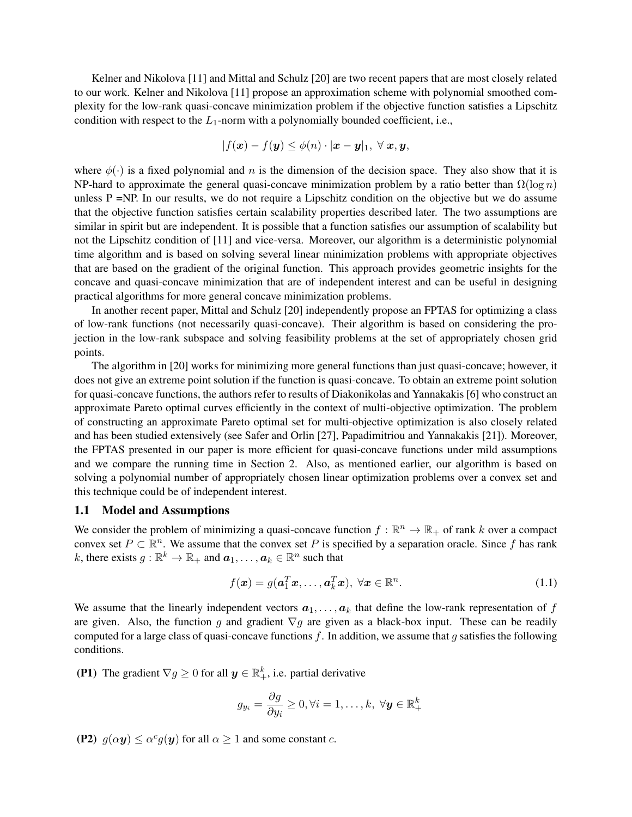Kelner and Nikolova [11] and Mittal and Schulz [20] are two recent papers that are most closely related to our work. Kelner and Nikolova [11] propose an approximation scheme with polynomial smoothed complexity for the low-rank quasi-concave minimization problem if the objective function satisfies a Lipschitz condition with respect to the  $L_1$ -norm with a polynomially bounded coefficient, i.e.,

$$
|f(\boldsymbol{x}) - f(\boldsymbol{y})| \leq \phi(n) \cdot |\boldsymbol{x} - \boldsymbol{y}|_1, \ \forall \ \boldsymbol{x}, \boldsymbol{y},
$$

where  $\phi(\cdot)$  is a fixed polynomial and n is the dimension of the decision space. They also show that it is NP-hard to approximate the general quasi-concave minimization problem by a ratio better than  $\Omega(\log n)$ unless  $P = NP$ . In our results, we do not require a Lipschitz condition on the objective but we do assume that the objective function satisfies certain scalability properties described later. The two assumptions are similar in spirit but are independent. It is possible that a function satisfies our assumption of scalability but not the Lipschitz condition of [11] and vice-versa. Moreover, our algorithm is a deterministic polynomial time algorithm and is based on solving several linear minimization problems with appropriate objectives that are based on the gradient of the original function. This approach provides geometric insights for the concave and quasi-concave minimization that are of independent interest and can be useful in designing practical algorithms for more general concave minimization problems.

In another recent paper, Mittal and Schulz [20] independently propose an FPTAS for optimizing a class of low-rank functions (not necessarily quasi-concave). Their algorithm is based on considering the projection in the low-rank subspace and solving feasibility problems at the set of appropriately chosen grid points.

The algorithm in [20] works for minimizing more general functions than just quasi-concave; however, it does not give an extreme point solution if the function is quasi-concave. To obtain an extreme point solution for quasi-concave functions, the authors refer to results of Diakonikolas and Yannakakis [6] who construct an approximate Pareto optimal curves efficiently in the context of multi-objective optimization. The problem of constructing an approximate Pareto optimal set for multi-objective optimization is also closely related and has been studied extensively (see Safer and Orlin [27], Papadimitriou and Yannakakis [21]). Moreover, the FPTAS presented in our paper is more efficient for quasi-concave functions under mild assumptions and we compare the running time in Section 2. Also, as mentioned earlier, our algorithm is based on solving a polynomial number of appropriately chosen linear optimization problems over a convex set and this technique could be of independent interest.

### 1.1 Model and Assumptions

We consider the problem of minimizing a quasi-concave function  $f : \mathbb{R}^n \to \mathbb{R}_+$  of rank k over a compact convex set  $P \subset \mathbb{R}^n$ . We assume that the convex set P is specified by a separation oracle. Since f has rank k, there exists  $g : \mathbb{R}^k \to \mathbb{R}_+$  and  $a_1, \dots, a_k \in \mathbb{R}^n$  such that

$$
f(\boldsymbol{x}) = g(\boldsymbol{a}_1^T \boldsymbol{x}, \dots, \boldsymbol{a}_k^T \boldsymbol{x}), \ \forall \boldsymbol{x} \in \mathbb{R}^n.
$$
 (1.1)

We assume that the linearly independent vectors  $a_1, \ldots, a_k$  that define the low-rank representation of f are given. Also, the function g and gradient  $\nabla g$  are given as a black-box input. These can be readily computed for a large class of quasi-concave functions  $f$ . In addition, we assume that  $g$  satisfies the following conditions.

(P1) The gradient  $\nabla g \ge 0$  for all  $y \in \mathbb{R}^k_+$ , i.e. partial derivative

$$
g_{y_i} = \frac{\partial g}{\partial y_i} \ge 0, \forall i = 1, \dots, k, \ \forall \mathbf{y} \in \mathbb{R}_+^k
$$

(P2)  $g(\alpha y) \leq \alpha^c g(y)$  for all  $\alpha \geq 1$  and some constant c.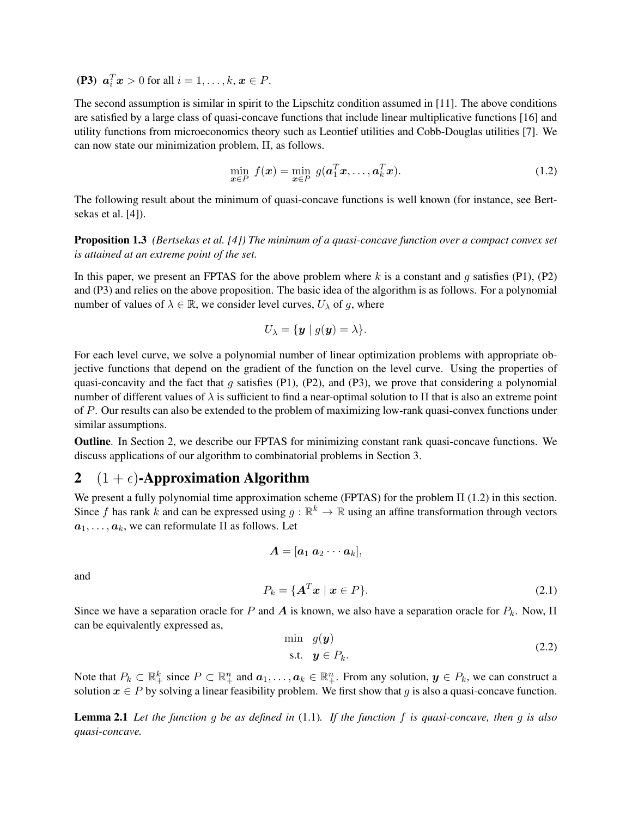(P3)  $a_i^T x > 0$  for all  $i = 1, ..., k, x \in P$ .

The second assumption is similar in spirit to the Lipschitz condition assumed in [11]. The above conditions are satisfied by a large class of quasi-concave functions that include linear multiplicative functions [16] and utility functions from microeconomics theory such as Leontief utilities and Cobb-Douglas utilities [7]. We can now state our minimization problem, Π, as follows.

$$
\min_{\boldsymbol{x}\in P} f(\boldsymbol{x}) = \min_{\boldsymbol{x}\in P} g(\boldsymbol{a}_1^T\boldsymbol{x}, \dots, \boldsymbol{a}_k^T\boldsymbol{x}).
$$
\n(1.2)

The following result about the minimum of quasi-concave functions is well known (for instance, see Bertsekas et al. [4]).

Proposition 1.3 *(Bertsekas et al. [4]) The minimum of a quasi-concave function over a compact convex set is attained at an extreme point of the set.*

In this paper, we present an FPTAS for the above problem where k is a constant and g satisfies (P1), (P2) and (P3) and relies on the above proposition. The basic idea of the algorithm is as follows. For a polynomial number of values of  $\lambda \in \mathbb{R}$ , we consider level curves,  $U_{\lambda}$  of g, where

$$
U_{\lambda} = \{ \boldsymbol{y} \mid g(\boldsymbol{y}) = \lambda \}.
$$

For each level curve, we solve a polynomial number of linear optimization problems with appropriate objective functions that depend on the gradient of the function on the level curve. Using the properties of quasi-concavity and the fact that g satisfies (P1), (P2), and (P3), we prove that considering a polynomial number of different values of  $\lambda$  is sufficient to find a near-optimal solution to  $\Pi$  that is also an extreme point of P. Our results can also be extended to the problem of maximizing low-rank quasi-convex functions under similar assumptions.

Outline. In Section 2, we describe our FPTAS for minimizing constant rank quasi-concave functions. We discuss applications of our algorithm to combinatorial problems in Section 3.

# 2  $(1 + \epsilon)$ -Approximation Algorithm

We present a fully polynomial time approximation scheme (FPTAS) for the problem Π (1.2) in this section. Since f has rank k and can be expressed using  $g : \mathbb{R}^k \to \mathbb{R}$  using an affine transformation through vectors  $a_1, \ldots, a_k$ , we can reformulate  $\Pi$  as follows. Let

$$
\boldsymbol{A} = [\boldsymbol{a}_1 \ \boldsymbol{a}_2 \cdots \boldsymbol{a}_k],
$$

and

$$
P_k = \{ \mathbf{A}^T \mathbf{x} \mid \mathbf{x} \in P \}. \tag{2.1}
$$

Since we have a separation oracle for P and A is known, we also have a separation oracle for  $P_k$ . Now,  $\Pi$ can be equivalently expressed as,

$$
\min \quad g(\mathbf{y}) \\
\text{s.t.} \quad \mathbf{y} \in P_k.\n\tag{2.2}
$$

Note that  $P_k \subset \mathbb{R}_+^k$  since  $P \subset \mathbb{R}_+^n$  and  $a_1, \ldots, a_k \in \mathbb{R}_+^n$ . From any solution,  $y \in P_k$ , we can construct a solution  $x \in P$  by solving a linear feasibility problem. We first show that g is also a quasi-concave function.

Lemma 2.1 *Let the function* g *be as defined in* (1.1)*. If the function* f *is quasi-concave, then* g *is also quasi-concave.*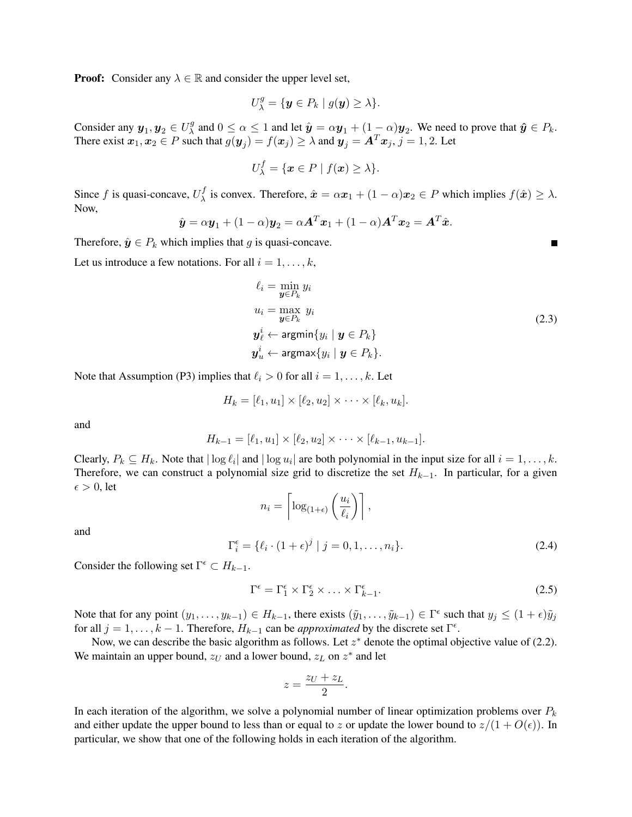**Proof:** Consider any  $\lambda \in \mathbb{R}$  and consider the upper level set,

$$
U^g_{\lambda} = \{ \mathbf{y} \in P_k \mid g(\mathbf{y}) \geq \lambda \}.
$$

Consider any  $y_1, y_2 \in U^g_\lambda$  $\hat{y}$  and  $0 \le \alpha \le 1$  and let  $\hat{y} = \alpha y_1 + (1 - \alpha)y_2$ . We need to prove that  $\hat{y} \in P_k$ . There exist  $x_1, x_2 \in P$  such that  $g(y_j) = f(x_j) \ge \lambda$  and  $y_j = A^T x_j$ ,  $j = 1, 2$ . Let

$$
U_{\lambda}^{f} = \{ \boldsymbol{x} \in P \mid f(\boldsymbol{x}) \geq \lambda \}.
$$

Since f is quasi-concave,  $U^f_{\lambda}$  $\chi^J$  is convex. Therefore,  $\hat{\mathbf{x}} = \alpha \mathbf{x}_1 + (1 - \alpha)\mathbf{x}_2 \in P$  which implies  $f(\hat{\mathbf{x}}) \geq \lambda$ . Now,

$$
\hat{\boldsymbol{y}} = \alpha \boldsymbol{y}_1 + (1 - \alpha) \boldsymbol{y}_2 = \alpha \boldsymbol{A}^T \boldsymbol{x}_1 + (1 - \alpha) \boldsymbol{A}^T \boldsymbol{x}_2 = \boldsymbol{A}^T \hat{\boldsymbol{x}}.
$$

Therefore,  $\hat{y} \in P_k$  which implies that g is quasi-concave.

Let us introduce a few notations. For all  $i = 1, \ldots, k$ ,

$$
\ell_i = \min_{\mathbf{y} \in P_k} y_i
$$
  
\n
$$
u_i = \max_{\mathbf{y} \in P_k} y_i
$$
  
\n
$$
\mathbf{y}_\ell^i \leftarrow \operatorname{argmin} \{ y_i \mid \mathbf{y} \in P_k \}
$$
  
\n
$$
\mathbf{y}_u^i \leftarrow \operatorname{argmax} \{ y_i \mid \mathbf{y} \in P_k \}.
$$
\n(2.3)

Note that Assumption (P3) implies that  $\ell_i > 0$  for all  $i = 1, \ldots, k$ . Let

$$
H_k=[\ell_1,u_1]\times[\ell_2,u_2]\times\cdots\times[\ell_k,u_k].
$$

and

$$
H_{k-1} = [\ell_1, u_1] \times [\ell_2, u_2] \times \cdots \times [\ell_{k-1}, u_{k-1}].
$$

Clearly,  $P_k \subseteq H_k$ . Note that  $|\log \ell_i|$  and  $|\log u_i|$  are both polynomial in the input size for all  $i = 1, ..., k$ . Therefore, we can construct a polynomial size grid to discretize the set  $H_{k-1}$ . In particular, for a given  $\epsilon > 0$ , let

$$
n_i = \left\lceil \log_{(1+\epsilon)} \left( \frac{u_i}{\ell_i} \right) \right\rceil,
$$

and

$$
\Gamma_i^{\epsilon} = \{ \ell_i \cdot (1 + \epsilon)^j \mid j = 0, 1, \dots, n_i \}.
$$
 (2.4)

Consider the following set  $\Gamma^{\epsilon} \subset H_{k-1}$ .

$$
\Gamma^{\epsilon} = \Gamma_1^{\epsilon} \times \Gamma_2^{\epsilon} \times \ldots \times \Gamma_{k-1}^{\epsilon}.
$$
 (2.5)

Note that for any point  $(y_1, \ldots, y_{k-1}) \in H_{k-1}$ , there exists  $(\tilde{y}_1, \ldots, \tilde{y}_{k-1}) \in \Gamma^{\epsilon}$  such that  $y_j \leq (1 + \epsilon) \tilde{y}_j$ for all  $j = 1, ..., k - 1$ . Therefore,  $H_{k-1}$  can be *approximated* by the discrete set  $\Gamma^{\epsilon}$ .

Now, we can describe the basic algorithm as follows. Let  $z^*$  denote the optimal objective value of (2.2). We maintain an upper bound,  $z_U$  and a lower bound,  $z_L$  on  $z^*$  and let

$$
z = \frac{z_U + z_L}{2}.
$$

In each iteration of the algorithm, we solve a polynomial number of linear optimization problems over  $P_k$ and either update the upper bound to less than or equal to z or update the lower bound to  $z/(1 + O(\epsilon))$ . In particular, we show that one of the following holds in each iteration of the algorithm.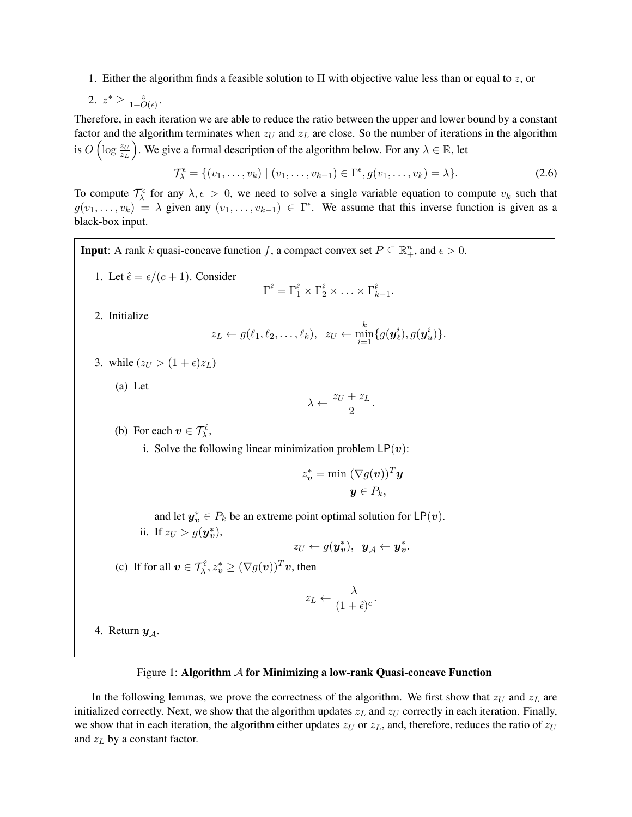1. Either the algorithm finds a feasible solution to  $\Pi$  with objective value less than or equal to z, or

2. 
$$
z^* \geq \frac{z}{1+O(\epsilon)}.
$$

Therefore, in each iteration we are able to reduce the ratio between the upper and lower bound by a constant factor and the algorithm terminates when  $z_U$  and  $z_L$  are close. So the number of iterations in the algorithm is  $O\left(\log \frac{z_U}{z_L}\right)$ ). We give a formal description of the algorithm below. For any  $\lambda \in \mathbb{R}$ , let

$$
\mathcal{T}_{\lambda}^{\epsilon} = \{ (v_1, \dots, v_k) \mid (v_1, \dots, v_{k-1}) \in \Gamma^{\epsilon}, g(v_1, \dots, v_k) = \lambda \}. \tag{2.6}
$$

To compute  $\mathcal{T}_{\lambda}^{\epsilon}$  for any  $\lambda, \epsilon > 0$ , we need to solve a single variable equation to compute  $v_k$  such that  $g(v_1,\ldots,v_k) = \lambda$  given any  $(v_1,\ldots,v_{k-1}) \in \Gamma^{\epsilon}$ . We assume that this inverse function is given as a black-box input.

**Input**: A rank k quasi-concave function f, a compact convex set  $P \subseteq \mathbb{R}_+^n$ , and  $\epsilon > 0$ . 1. Let  $\hat{\epsilon} = \epsilon/(c+1)$ . Consider  $\Gamma^{\hat{\epsilon}} = \Gamma_1^{\hat{\epsilon}} \times \Gamma_2^{\hat{\epsilon}} \times \ldots \times \Gamma_{k-1}^{\hat{\epsilon}}.$ 2. Initialize  $z_L \leftarrow g(\ell_1, \ell_2, \ldots, \ell_k), \ \ z_U \leftarrow \min_{i=1}^k \{g(\bm{y}_\ell^i), g(\bm{y}_u^i)\}.$ 3. while  $(z_U > (1 + \epsilon)z_L)$ (a) Let  $\lambda \leftarrow \frac{z_U + z_L}{2}$  $rac{1}{2}$ . (b) For each  $v \in \mathcal{T}_{\lambda}^{\hat{\epsilon}}$ , i. Solve the following linear minimization problem  $LP(v)$ :  $z_{\boldsymbol{v}}^* = \min \left( \nabla g(\boldsymbol{v}) \right)^T \boldsymbol{y}$  $y \in P_k$ , and let  $y_v^* \in P_k$  be an extreme point optimal solution for  $\mathsf{LP}(v)$ . ii. If  $z_U > g(\mathbf{y}_{v}^*),$  $z_U \leftarrow g(\boldsymbol{y_v^*}), \ \ \boldsymbol{y_A} \leftarrow \boldsymbol{y_v^*}.$ (c) If for all  $\mathbf{v} \in \mathcal{T}_{\lambda}^{\hat{\epsilon}}$ ,  $z_{\mathbf{v}}^* \ge (\nabla g(\mathbf{v}))^T \mathbf{v}$ , then  $z_L \leftarrow \frac{\lambda}{(1 + \epsilon)^2}$  $\frac{\dot{\cdot} }{(1+\hat{\epsilon})^c}$ . 4. Return  $y_A$ .

#### Figure 1: Algorithm  $A$  for Minimizing a low-rank Quasi-concave Function

In the following lemmas, we prove the correctness of the algorithm. We first show that  $z_U$  and  $z_L$  are initialized correctly. Next, we show that the algorithm updates  $z_L$  and  $z_U$  correctly in each iteration. Finally, we show that in each iteration, the algorithm either updates  $z_U$  or  $z_L$ , and, therefore, reduces the ratio of  $z_U$ and  $z_L$  by a constant factor.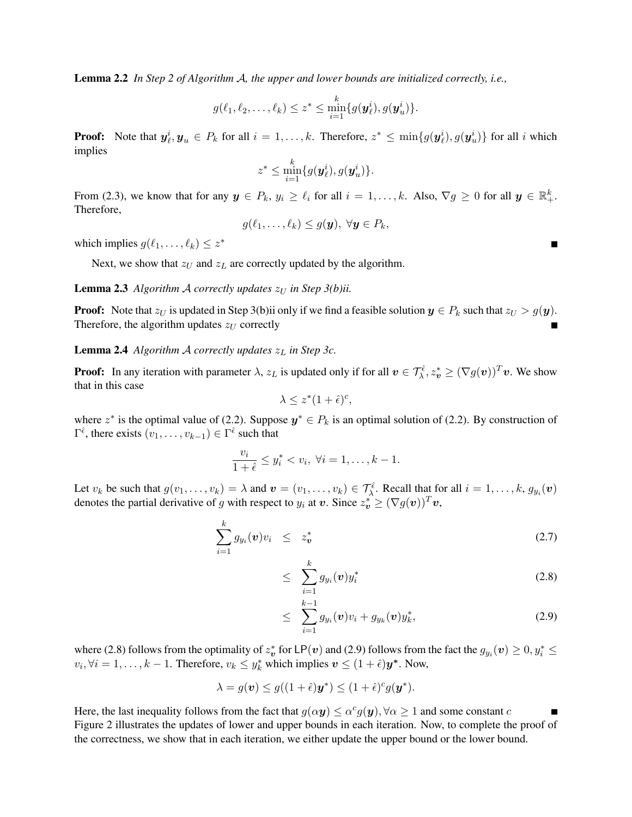Lemma 2.2 *In Step 2 of Algorithm* A*, the upper and lower bounds are initialized correctly, i.e.,*

$$
g(\ell_1,\ell_2,\ldots,\ell_k) \leq z^* \leq \min_{i=1}^k \{g(\boldsymbol{y}_{\ell}^i), g(\boldsymbol{y}_{u}^i)\}.
$$

**Proof:** Note that  $y_{\ell}^i, y_u \in P_k$  for all  $i = 1, ..., k$ . Therefore,  $z^* \le \min\{g(y_{\ell}^i), g(y_u^i)\}\)$  for all i which implies

$$
z^* \leq \min_{i=1}^k \{g(\boldsymbol{y}_{\ell}^i), g(\boldsymbol{y}_{u}^i)\}.
$$

From (2.3), we know that for any  $y \in P_k$ ,  $y_i \ge \ell_i$  for all  $i = 1, ..., k$ . Also,  $\nabla g \ge 0$  for all  $y \in \mathbb{R}^k_+$ . Therefore,

$$
g(\ell_1,\ldots,\ell_k)\leq g(\boldsymbol{y}),\ \forall \boldsymbol{y}\in P_k,
$$

which implies  $g(\ell_1, \ldots, \ell_k) \leq z^*$ 

Next, we show that  $z_U$  and  $z_L$  are correctly updated by the algorithm.

**Lemma 2.3** *Algorithm A correctly updates*  $z_U$  *in Step 3(b)ii.* 

**Proof:** Note that  $z_U$  is updated in Step 3(b)ii only if we find a feasible solution  $y \in P_k$  such that  $z_U > g(y)$ . Therefore, the algorithm updates  $z_U$  correctly

**Lemma 2.4** *Algorithm A correctly updates*  $z_L$  *in Step 3c.* 

**Proof:** In any iteration with parameter  $\lambda$ ,  $z_L$  is updated only if for all  $v \in \mathcal{T}_{\lambda}^{\hat{\epsilon}}$ ,  $z_v^* \ge (\nabla g(v))^T v$ . We show that in this case

$$
\lambda \le z^*(1+\hat{\epsilon})^c,
$$

where  $z^*$  is the optimal value of (2.2). Suppose  $y^* \in P_k$  is an optimal solution of (2.2). By construction of  $\Gamma^{\hat{\epsilon}}$ , there exists  $(v_1, \ldots, v_{k-1}) \in \Gamma^{\hat{\epsilon}}$  such that

$$
\frac{v_i}{1+\hat{\epsilon}} \le y_i^* < v_i, \ \forall i = 1, \dots, k-1.
$$

Let  $v_k$  be such that  $g(v_1, \ldots, v_k) = \lambda$  and  $v = (v_1, \ldots, v_k) \in \mathcal{T}_{\lambda}^{\hat{\epsilon}}$ . Recall that for all  $i = 1, \ldots, k$ ,  $g_{y_i}(v)$ denotes the partial derivative of g with respect to  $y_i$  at  $v$ . Since  $z_v^* \ge (\nabla g(v))^T v$ ,

$$
\sum_{i=1}^{k} g_{y_i}(\boldsymbol{v}) v_i \leq z_{\boldsymbol{v}}^* \tag{2.7}
$$

$$
\leq \sum_{i=1}^k g_{y_i}(\boldsymbol{v}) y_i^* \tag{2.8}
$$

$$
\leq \sum_{i=1}^{k-1} g_{y_i}(\boldsymbol{v}) v_i + g_{y_k}(\boldsymbol{v}) y_k^*, \qquad (2.9)
$$

where (2.8) follows from the optimality of  $z_v^*$  for LP( $v$ ) and (2.9) follows from the fact the  $g_{y_i}(v) \ge 0, y_i^* \le$  $v_i, \forall i = 1, \dots, k - 1$ . Therefore,  $v_k \leq y_k^*$  which implies  $\mathbf{v} \leq (1 + \hat{\epsilon}) \mathbf{y}^*$ . Now,

 $\lambda$ <sup>1</sup>

$$
\lambda = g(\boldsymbol{v}) \le g((1+\hat{\epsilon})\boldsymbol{y}^*) \le (1+\hat{\epsilon})^c g(\boldsymbol{y}^*).
$$

Here, the last inequality follows from the fact that  $g(\alpha y) \le \alpha^c g(y)$ ,  $\forall \alpha \ge 1$  and some constant  $c$ П Figure 2 illustrates the updates of lower and upper bounds in each iteration. Now, to complete the proof of the correctness, we show that in each iteration, we either update the upper bound or the lower bound.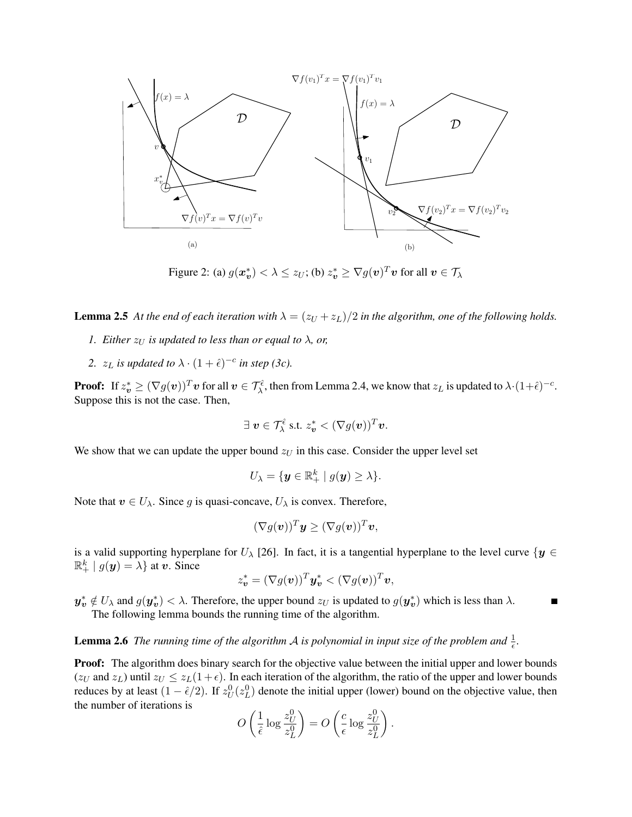

Figure 2: (a)  $g(\bm{x_v^*}) < \lambda \leq z_U$ ; (b)  $z_v^* \geq \nabla g(\bm{v})^T \bm{v}$  for all  $\bm{v} \in \mathcal{T}_\lambda$ 

**Lemma 2.5** At the end of each iteration with  $\lambda = (z_U + z_L)/2$  in the algorithm, one of the following holds.

- *1. Either*  $z_U$  *is updated to less than or equal to*  $\lambda$ *, or,*
- 2.  $z_L$  *is updated to*  $\lambda \cdot (1 + \hat{\epsilon})^{-c}$  *in step (3c).*

**Proof:** If  $z_v^* \geq (\nabla g(v))^T v$  for all  $v \in \mathcal{T}_{\lambda}^{\hat{\epsilon}}$ , then from Lemma 2.4, we know that  $z_L$  is updated to  $\lambda \cdot (1+\hat{\epsilon})^{-c}$ . Suppose this is not the case. Then,

$$
\exists \; \boldsymbol{v} \in \mathcal{T}_{\lambda}^{\hat{\epsilon}} \; \text{s.t.} \; z_{\boldsymbol{v}}^* < (\nabla g(\boldsymbol{v}))^T \boldsymbol{v}.
$$

We show that we can update the upper bound  $z_U$  in this case. Consider the upper level set

$$
U_{\lambda} = \{ \mathbf{y} \in \mathbb{R}^k_+ \mid g(\mathbf{y}) \geq \lambda \}.
$$

Note that  $v \in U_{\lambda}$ . Since g is quasi-concave,  $U_{\lambda}$  is convex. Therefore,

$$
(\nabla g(\boldsymbol{v}))^T\boldsymbol{y} \geq (\nabla g(\boldsymbol{v}))^T\boldsymbol{v},
$$

is a valid supporting hyperplane for  $U_\lambda$  [26]. In fact, it is a tangential hyperplane to the level curve  $\{y \in$  $\mathbb{R}^k_+ | g(\mathbf{y}) = \lambda$  at v. Since

$$
z_{\boldsymbol{v}}^* = (\nabla g(\boldsymbol{v}))^T \boldsymbol{y}_{\boldsymbol{v}}^* < (\nabla g(\boldsymbol{v}))^T \boldsymbol{v},
$$

 $y_v^* \notin U_\lambda$  and  $g(y_v^*) < \lambda$ . Therefore, the upper bound  $z_U$  is updated to  $g(y_v^*)$  which is less than  $\lambda$ . Г The following lemma bounds the running time of the algorithm.

**Lemma 2.6** The running time of the algorithm A is polynomial in input size of the problem and  $\frac{1}{\epsilon}$ .

**Proof:** The algorithm does binary search for the objective value between the initial upper and lower bounds  $(z_U \text{ and } z_L)$  until  $z_U \le z_L(1+\epsilon)$ . In each iteration of the algorithm, the ratio of the upper and lower bounds reduces by at least  $(1 - \hat{\epsilon}/2)$ . If  $z_U^0(z_L^0)$  denote the initial upper (lower) bound on the objective value, then the number of iterations is

$$
O\left(\frac{1}{\hat{\epsilon}}\log\frac{z_U^0}{z_L^0}\right) = O\left(\frac{c}{\epsilon}\log\frac{z_U^0}{z_L^0}\right).
$$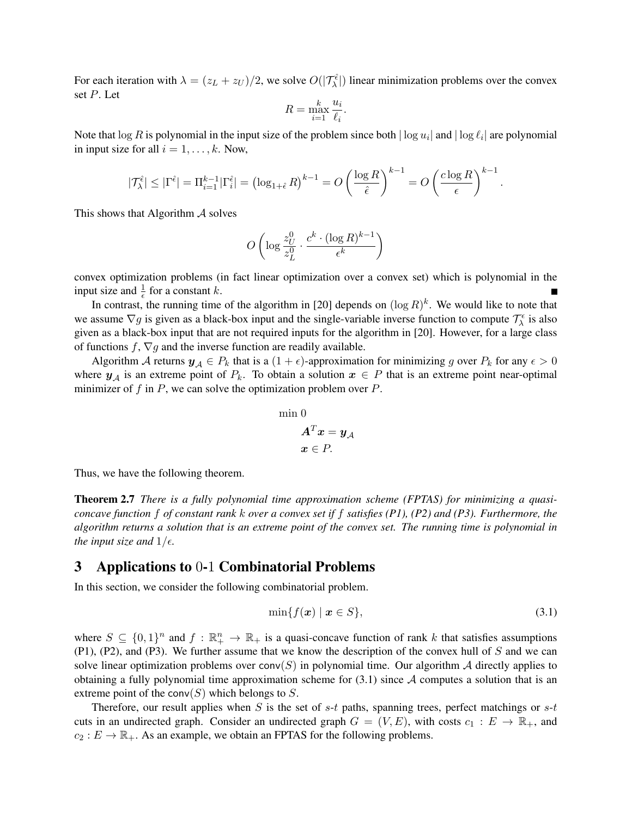For each iteration with  $\lambda = (z_L + z_U)/2$ , we solve  $O(|\mathcal{T}_{\lambda}^{\hat{\epsilon}}|)$  linear minimization problems over the convex set P. Let

$$
R = \max_{i=1}^{k} \frac{u_i}{\ell_i}.
$$

Note that  $\log R$  is polynomial in the input size of the problem since both  $|\log u_i|$  and  $|\log \ell_i|$  are polynomial in input size for all  $i = 1, \ldots, k$ . Now,

$$
|\mathcal{T}_{\lambda}^{\hat{\epsilon}}| \leq |\Gamma^{\hat{\epsilon}}| = \Pi_{i=1}^{k-1} |\Gamma_i^{\hat{\epsilon}}| = \left(\log_{1+\hat{\epsilon}} R\right)^{k-1} = O\left(\frac{\log R}{\hat{\epsilon}}\right)^{k-1} = O\left(\frac{c \log R}{\epsilon}\right)^{k-1}
$$

This shows that Algorithm  $\mathcal A$  solves

$$
O\left(\log \frac{z_U^0}{z_L^0} \cdot \frac{c^k \cdot (\log R)^{k-1}}{\epsilon^k}\right)
$$

convex optimization problems (in fact linear optimization over a convex set) which is polynomial in the input size and  $\frac{1}{\epsilon}$  for a constant k.

In contrast, the running time of the algorithm in [20] depends on  $(\log R)^k$ . We would like to note that we assume  $\nabla g$  is given as a black-box input and the single-variable inverse function to compute  $\mathcal{T}^{\epsilon}_{\lambda}$  is also given as a black-box input that are not required inputs for the algorithm in [20]. However, for a large class of functions  $f, \nabla g$  and the inverse function are readily available.

Algorithm A returns  $y_A \in P_k$  that is a  $(1 + \epsilon)$ -approximation for minimizing g over  $P_k$  for any  $\epsilon > 0$ where  $y_A$  is an extreme point of  $P_k$ . To obtain a solution  $x \in P$  that is an extreme point near-optimal minimizer of f in P, we can solve the optimization problem over  $P$ .

$$
\begin{aligned}\n\min 0\\ \mathbf{A}^T \mathbf{x} &= \mathbf{y}_{\mathcal{A}}\\ \n\mathbf{x} &\in P.\n\end{aligned}
$$

Thus, we have the following theorem.

Theorem 2.7 *There is a fully polynomial time approximation scheme (FPTAS) for minimizing a quasiconcave function* f *of constant rank* k *over a convex set if* f *satisfies (P1), (P2) and (P3). Furthermore, the algorithm returns a solution that is an extreme point of the convex set. The running time is polynomial in the input size and*  $1/\epsilon$ .

### 3 Applications to 0-1 Combinatorial Problems

In this section, we consider the following combinatorial problem.

$$
\min\{f(\boldsymbol{x}) \mid \boldsymbol{x} \in S\},\tag{3.1}
$$

.

where  $S \subseteq \{0,1\}^n$  and  $f : \mathbb{R}_+^n \to \mathbb{R}_+$  is a quasi-concave function of rank k that satisfies assumptions  $(P1)$ ,  $(P2)$ , and  $(P3)$ . We further assume that we know the description of the convex hull of S and we can solve linear optimization problems over  $conv(S)$  in polynomial time. Our algorithm A directly applies to obtaining a fully polynomial time approximation scheme for  $(3.1)$  since A computes a solution that is an extreme point of the conv $(S)$  which belongs to S.

Therefore, our result applies when S is the set of  $s-t$  paths, spanning trees, perfect matchings or  $s-t$ cuts in an undirected graph. Consider an undirected graph  $G = (V, E)$ , with costs  $c_1 : E \to \mathbb{R}_+$ , and  $c_2 : E \to \mathbb{R}_+$ . As an example, we obtain an FPTAS for the following problems.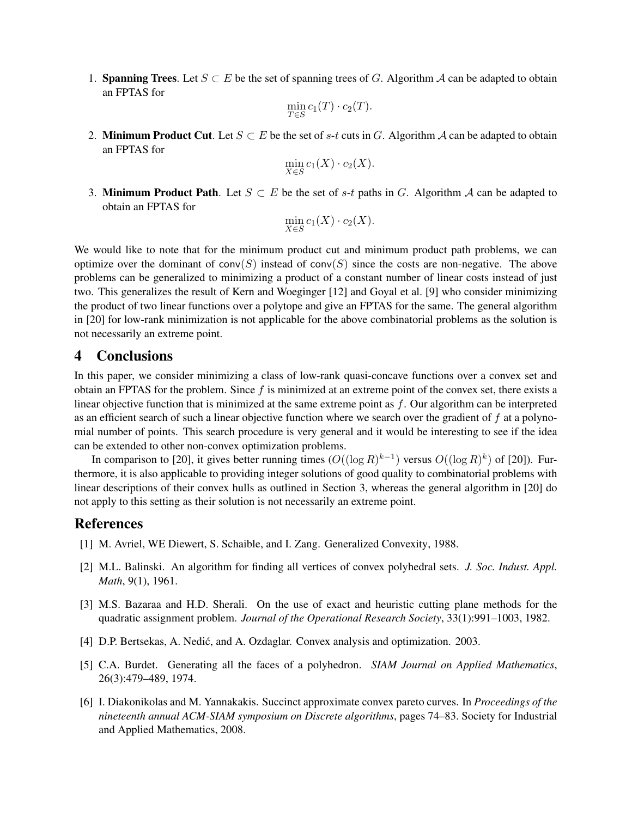1. **Spanning Trees**. Let  $S \subset E$  be the set of spanning trees of G. Algorithm A can be adapted to obtain an FPTAS for

$$
\min_{T \in S} c_1(T) \cdot c_2(T).
$$

2. Minimum Product Cut. Let  $S \subset E$  be the set of s-t cuts in G. Algorithm A can be adapted to obtain an FPTAS for

$$
\min_{X \in S} c_1(X) \cdot c_2(X).
$$

3. Minimum Product Path. Let  $S \subset E$  be the set of s-t paths in G. Algorithm A can be adapted to obtain an FPTAS for

$$
\min_{X \in S} c_1(X) \cdot c_2(X).
$$

We would like to note that for the minimum product cut and minimum product path problems, we can optimize over the dominant of  $conv(S)$  instead of  $conv(S)$  since the costs are non-negative. The above problems can be generalized to minimizing a product of a constant number of linear costs instead of just two. This generalizes the result of Kern and Woeginger [12] and Goyal et al. [9] who consider minimizing the product of two linear functions over a polytope and give an FPTAS for the same. The general algorithm in [20] for low-rank minimization is not applicable for the above combinatorial problems as the solution is not necessarily an extreme point.

# 4 Conclusions

In this paper, we consider minimizing a class of low-rank quasi-concave functions over a convex set and obtain an FPTAS for the problem. Since  $f$  is minimized at an extreme point of the convex set, there exists a linear objective function that is minimized at the same extreme point as  $f$ . Our algorithm can be interpreted as an efficient search of such a linear objective function where we search over the gradient of  $f$  at a polynomial number of points. This search procedure is very general and it would be interesting to see if the idea can be extended to other non-convex optimization problems.

In comparison to [20], it gives better running times  $(O((\log R)^{k-1})$  versus  $O((\log R)^k)$  of [20]). Furthermore, it is also applicable to providing integer solutions of good quality to combinatorial problems with linear descriptions of their convex hulls as outlined in Section 3, whereas the general algorithm in [20] do not apply to this setting as their solution is not necessarily an extreme point.

# References

- [1] M. Avriel, WE Diewert, S. Schaible, and I. Zang. Generalized Convexity, 1988.
- [2] M.L. Balinski. An algorithm for finding all vertices of convex polyhedral sets. *J. Soc. Indust. Appl. Math*, 9(1), 1961.
- [3] M.S. Bazaraa and H.D. Sherali. On the use of exact and heuristic cutting plane methods for the quadratic assignment problem. *Journal of the Operational Research Society*, 33(1):991–1003, 1982.
- [4] D.P. Bertsekas, A. Nedić, and A. Ozdaglar. Convex analysis and optimization. 2003.
- [5] C.A. Burdet. Generating all the faces of a polyhedron. *SIAM Journal on Applied Mathematics*, 26(3):479–489, 1974.
- [6] I. Diakonikolas and M. Yannakakis. Succinct approximate convex pareto curves. In *Proceedings of the nineteenth annual ACM-SIAM symposium on Discrete algorithms*, pages 74–83. Society for Industrial and Applied Mathematics, 2008.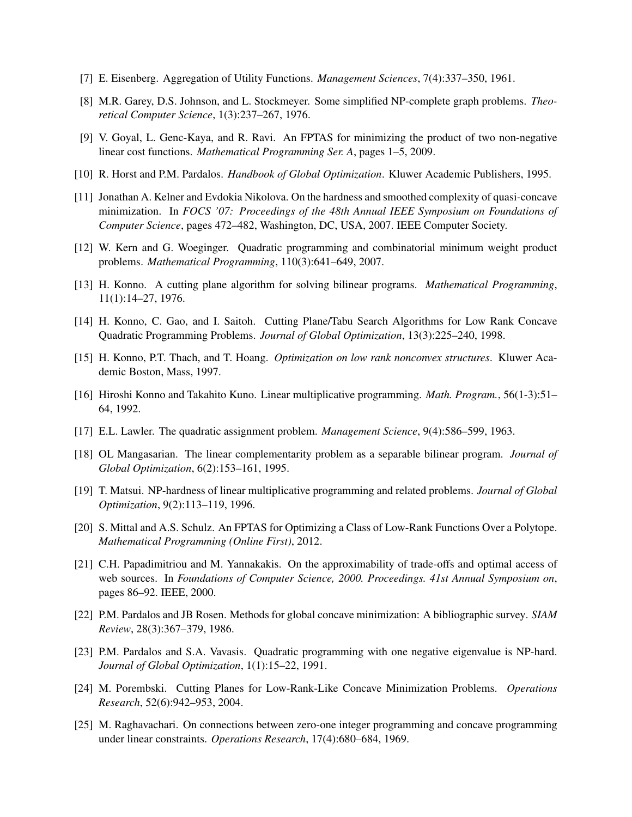- [7] E. Eisenberg. Aggregation of Utility Functions. *Management Sciences*, 7(4):337–350, 1961.
- [8] M.R. Garey, D.S. Johnson, and L. Stockmeyer. Some simplified NP-complete graph problems. *Theoretical Computer Science*, 1(3):237–267, 1976.
- [9] V. Goyal, L. Genc-Kaya, and R. Ravi. An FPTAS for minimizing the product of two non-negative linear cost functions. *Mathematical Programming Ser. A*, pages 1–5, 2009.
- [10] R. Horst and P.M. Pardalos. *Handbook of Global Optimization*. Kluwer Academic Publishers, 1995.
- [11] Jonathan A. Kelner and Evdokia Nikolova. On the hardness and smoothed complexity of quasi-concave minimization. In *FOCS '07: Proceedings of the 48th Annual IEEE Symposium on Foundations of Computer Science*, pages 472–482, Washington, DC, USA, 2007. IEEE Computer Society.
- [12] W. Kern and G. Woeginger. Quadratic programming and combinatorial minimum weight product problems. *Mathematical Programming*, 110(3):641–649, 2007.
- [13] H. Konno. A cutting plane algorithm for solving bilinear programs. *Mathematical Programming*, 11(1):14–27, 1976.
- [14] H. Konno, C. Gao, and I. Saitoh. Cutting Plane/Tabu Search Algorithms for Low Rank Concave Quadratic Programming Problems. *Journal of Global Optimization*, 13(3):225–240, 1998.
- [15] H. Konno, P.T. Thach, and T. Hoang. *Optimization on low rank nonconvex structures*. Kluwer Academic Boston, Mass, 1997.
- [16] Hiroshi Konno and Takahito Kuno. Linear multiplicative programming. *Math. Program.*, 56(1-3):51– 64, 1992.
- [17] E.L. Lawler. The quadratic assignment problem. *Management Science*, 9(4):586–599, 1963.
- [18] OL Mangasarian. The linear complementarity problem as a separable bilinear program. *Journal of Global Optimization*, 6(2):153–161, 1995.
- [19] T. Matsui. NP-hardness of linear multiplicative programming and related problems. *Journal of Global Optimization*, 9(2):113–119, 1996.
- [20] S. Mittal and A.S. Schulz. An FPTAS for Optimizing a Class of Low-Rank Functions Over a Polytope. *Mathematical Programming (Online First)*, 2012.
- [21] C.H. Papadimitriou and M. Yannakakis. On the approximability of trade-offs and optimal access of web sources. In *Foundations of Computer Science, 2000. Proceedings. 41st Annual Symposium on*, pages 86–92. IEEE, 2000.
- [22] P.M. Pardalos and JB Rosen. Methods for global concave minimization: A bibliographic survey. *SIAM Review*, 28(3):367–379, 1986.
- [23] P.M. Pardalos and S.A. Vavasis. Quadratic programming with one negative eigenvalue is NP-hard. *Journal of Global Optimization*, 1(1):15–22, 1991.
- [24] M. Porembski. Cutting Planes for Low-Rank-Like Concave Minimization Problems. *Operations Research*, 52(6):942–953, 2004.
- [25] M. Raghavachari. On connections between zero-one integer programming and concave programming under linear constraints. *Operations Research*, 17(4):680–684, 1969.